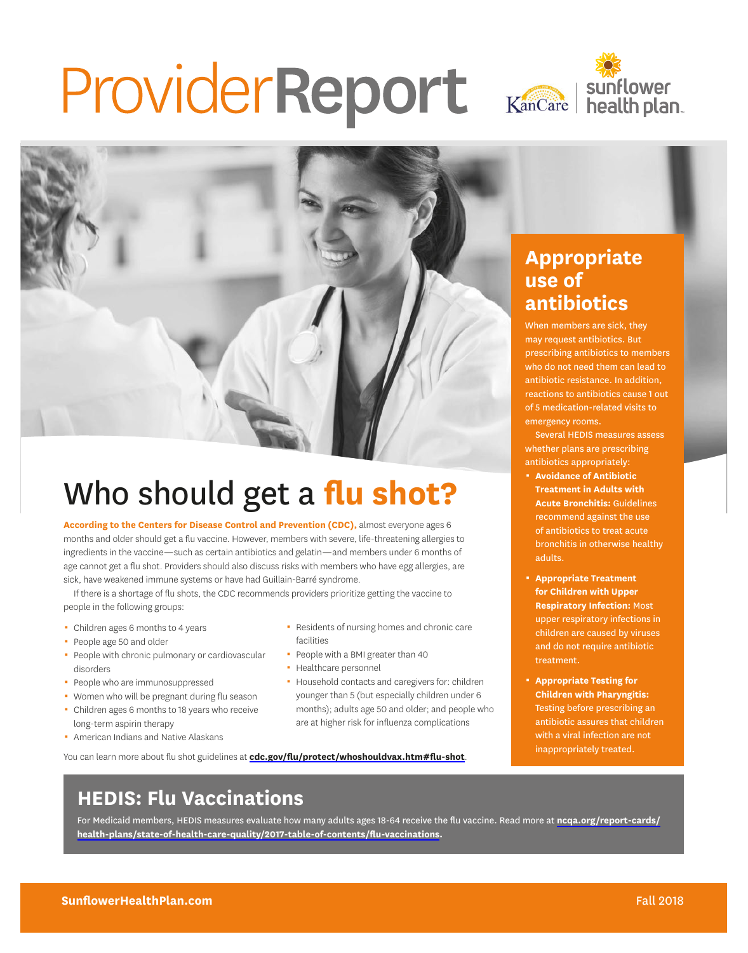# Provider Report Kancare | Sunflower





## Who should get a **flu shot?**

**According to the Centers for Disease Control and Prevention (CDC),** almost everyone ages 6 months and older should get a fu vaccine. However, members with severe, life-threatening allergies to ingredients in the vaccine—such as certain antibiotics and gelatin—and members under 6 months of age cannot get a fu shot. Providers should also discuss risks with members who have egg allergies, are sick, have weakened immune systems or have had Guillain-Barré syndrome.

If there is a shortage of fu shots, the CDC recommends providers prioritize getting the vaccine to people in the following groups:

- $\blacksquare$  Children ages 6 months to 4 years
- People age 50 and older
- People with chronic pulmonary or cardiovascular disorders
- People who are immunosuppressed
- Women who will be pregnant during flu season
- Children ages 6 months to 18 years who receive long-term aspirin therapy
- **American Indians and Native Alaskans**
- **-** Residents of nursing homes and chronic care facilities
- People with a BMI greater than 40
- Healthcare personnel
- **Household contacts and caregivers for: children** younger than 5 (but especially children under 6 months); adults age 50 and older; and people who are at higher risk for infuenza complications

You can learn more about flu shot guidelines at cdc.gov/flu/protect/whoshouldvax.htm#flu-shot.

#### **Appropriate use of antibiotics**

When members are sick, they may request antibiotics. But prescribing antibiotics to members who do not need them can lead to antibiotic resistance. In addition, reactions to antibiotics cause 1 out of 5 medication-related visits to emergency rooms.

Several HEDIS measures assess whether plans are prescribing antibiotics appropriately:

- 0 **Avoidance of Antibiotic Treatment in Adults with Acute Bronchitis:** Guidelines recommend against the use of antibiotics to treat acute bronchitis in otherwise healthy adults.
- 0 **Appropriate Treatment for Children with Upper Respiratory Infection:** Most upper respiratory infections in children are caused by viruses and do not require antibiotic treatment.
- 0 **Appropriate Testing for Children with Pharyngitis:**  Testing before prescribing an antibiotic assures that children with a viral infection are not inappropriately treated.

#### **HEDIS: Flu Vaccinations**

For Medicaid members, HEDIS measures evaluate how many adults ages 18-64 receive the fu vaccine. Read more at **[ncqa.org/report-cards/](http://ncqa.org/report-cards/health-plans/state-of-health-care-quality/2017-table-of-contents/flu-vaccinations) [health-plans/state-of-health-care-quality/2017-table-of-contents/fu-vaccinations](http://ncqa.org/report-cards/health-plans/state-of-health-care-quality/2017-table-of-contents/flu-vaccinations).**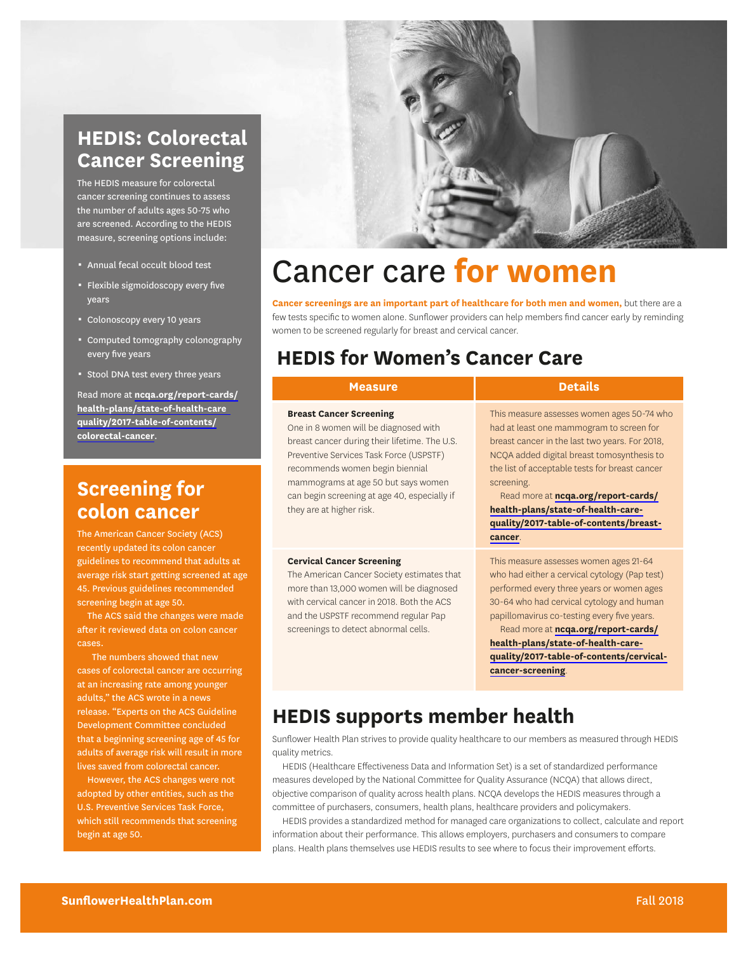#### **HEDIS: Colorectal Cancer Screening**

The HEDIS measure for colorectal cancer screening continues to assess the number of adults ages 50-75 who are screened. According to the HEDIS measure, screening options include:

- \* Annual fecal occult blood test
- **Flexible sigmoidoscopy every five** years
- Colonoscopy every 10 years
- 0 Computed tomography colonography every five years
- **Stool DNA test every three years**

Read more at **[ncqa.org/report-cards/](http://ncqa.org/report-cards/health-plans/state-of-health-care-quality/2017-table-of-contents/colorectal-cancer) [health-plans/state-of-health-care](http://ncqa.org/report-cards/health-plans/state-of-health-care-quality/2017-table-of-contents/colorectal-cancer)  [quality/2017-table-of-contents/](http://ncqa.org/report-cards/health-plans/state-of-health-care-quality/2017-table-of-contents/colorectal-cancer) [colorectal-cancer](http://ncqa.org/report-cards/health-plans/state-of-health-care-quality/2017-table-of-contents/colorectal-cancer)**.

#### **Screening for colon cancer**

The American Cancer Society (ACS) recently updated its colon cancer guidelines to recommend that adults at average risk start getting screened at a 45. Previous guidelines recommended screening begin at age 50.

The ACS said the changes were mad after it reviewed data on colon cancer cases.

lives saved from colorectal cancer. The numbers showed that new cases of colorectal cancer are occurring at an increasing rate among younger adults," the ACS wrote in a news release. "Experts on the ACS Guideline Development Committee concluded that a beginning screening age of 45 for adults of average risk will result in more

However, the ACS changes were not adopted by other entities, such as the U.S. Preventive Services Task Force, which still recommends that screening begin at age 50.



## Cancer care **for women**

**Cancer screenings are an important part of healthcare for both men and women,** but there are a few tests specific to women alone. Sunflower providers can help members find cancer early by reminding women to be screened regularly for breast and cervical cancer.

#### **HEDIS for Women's Cancer Care**

|    | <b>Measure</b>                                                                                                                                                                                                                                                                                                            | <b>Details</b>                                                                                                                                                                                                                                                                                                                                                                           |
|----|---------------------------------------------------------------------------------------------------------------------------------------------------------------------------------------------------------------------------------------------------------------------------------------------------------------------------|------------------------------------------------------------------------------------------------------------------------------------------------------------------------------------------------------------------------------------------------------------------------------------------------------------------------------------------------------------------------------------------|
|    | <b>Breast Cancer Screening</b><br>One in 8 women will be diagnosed with<br>breast cancer during their lifetime. The U.S.<br>Preventive Services Task Force (USPSTF)<br>recommends women begin biennial<br>mammograms at age 50 but says women<br>can begin screening at age 40, especially if<br>they are at higher risk. | This measure assesses women ages 50-74 who<br>had at least one mammogram to screen for<br>breast cancer in the last two years. For 2018,<br>NCQA added digital breast tomosynthesis to<br>the list of acceptable tests for breast cancer<br>screening.<br>Read more at ncqa.org/report-cards/<br>health-plans/state-of-health-care-<br>quality/2017-table-of-contents/breast-<br>cancer. |
| ge | <b>Cervical Cancer Screening</b><br>The American Cancer Society estimates that<br>more than 13,000 women will be diagnosed<br>with cervical cancer in 2018. Both the ACS<br>and the USPSTF recommend regular Pap<br>screenings to detect abnormal cells.                                                                  | This measure assesses women ages 21-64<br>who had either a cervical cytology (Pap test)<br>performed every three years or women ages<br>30-64 who had cervical cytology and human<br>papillomavirus co-testing every five years.<br>Read more at ncqa.org/report-cards/<br>health-plans/state-of-health-care-<br>quality/2017-table-of-contents/cervical-<br>cancer-screening.           |
|    | <b>HEDIS supports member health</b>                                                                                                                                                                                                                                                                                       |                                                                                                                                                                                                                                                                                                                                                                                          |

Sunfower Health Plan strives to provide quality healthcare to our members as measured through HEDIS quality metrics.

HEDIS (Healthcare Efectiveness Data and Information Set) is a set of standardized performance measures developed by the National Committee for Quality Assurance (NCQA) that allows direct, objective comparison of quality across health plans. NCQA develops the HEDIS measures through a committee of purchasers, consumers, health plans, healthcare providers and policymakers.

HEDIS provides a standardized method for managed care organizations to collect, calculate and report information about their performance. This allows employers, purchasers and consumers to compare plans. Health plans themselves use HEDIS results to see where to focus their improvement eforts.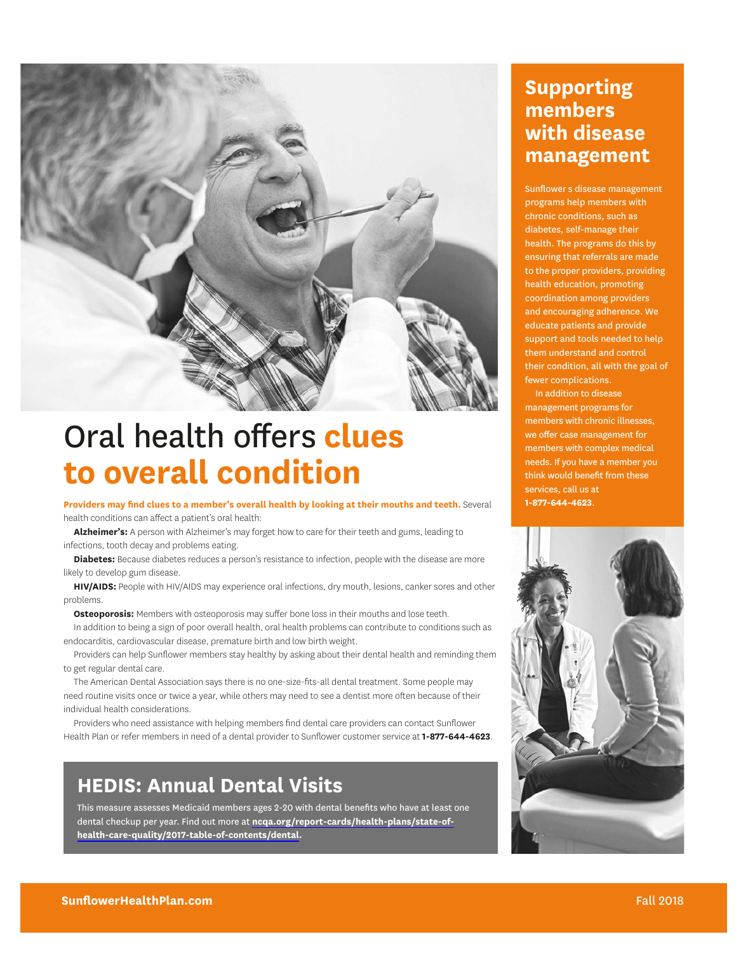

## **Oral health offers clues to overall condition**

**Providers may fnd clues to a member's overall health by looking at their mouths and teeth.** Several health conditions can afect a patient's oral health:

**Alzheimer's:** A person with Alzheimer's may forget how to care for their teeth and gums, leading to infections, tooth decay and problems eating.

**Diabetes:** Because diabetes reduces a person's resistance to infection, people with the disease are more likely to develop gum disease.

**HIV/AIDS:** People with HIV/AIDS may experience oral infections, dry mouth, lesions, canker sores and other problems.

**Osteoporosis:** Members with osteoporosis may suffer bone loss in their mouths and lose teeth.

In addition to being a sign of poor overall health, oral health problems can contribute to conditions such as endocarditis, cardiovascular disease, premature birth and low birth weight.

Providers can help Sunfower members stay healthy by asking about their dental health and reminding them to get regular dental care.

The American Dental Association says there is no one-size-fts-all dental treatment. Some people may need routine visits once or twice a year, while others may need to see a dentist more often because of their individual health considerations.

Providers who need assistance with helping members fnd dental care providers can contact Sunfower Health Plan or refer members in need of a dental provider to Sunfower customer service at **1-877-644-4623**.

### **HEDIS: Annual Dental Visits HEDIS: Annual Dental Visits**

This measure assesses Medicaid members ages 2-20 with dental benefits who have at least one have at least one dental checkup per year. Find out more at **ncqa.org/report-cards/** dental checkup per year. Find out more at **[ncqa.org/report-cards/health-plans/state-of](http://ncqa.org/report-cards/health-plans/state-of-health-care-quality/2017-table-of-contents/dental)health-plans/state-of-health-care-quality/2017-table-of-contents/dental**. **[health-care-quality/2017-table-of-contents/dental.](http://ncqa.org/report-cards/health-plans/state-of-health-care-quality/2017-table-of-contents/dental)** 

#### **Supporting members with disease management**

Sunflower s disease management programs help members with chronic conditions, such as diabetes, self-manage their health. The programs do this by ensuring that referrals are made to the proper providers, providing health education, promoting coordination among providers and encouraging adherence. We educate patients and provide support and tools needed to help them understand and control their condition, all with the goal of fewer complications.

In addition to disease management programs for members with chronic illnesses, we offer case management for members with complex medical needs. If you have a member you think would beneft from these services, call us at **1-877-644-4623**.